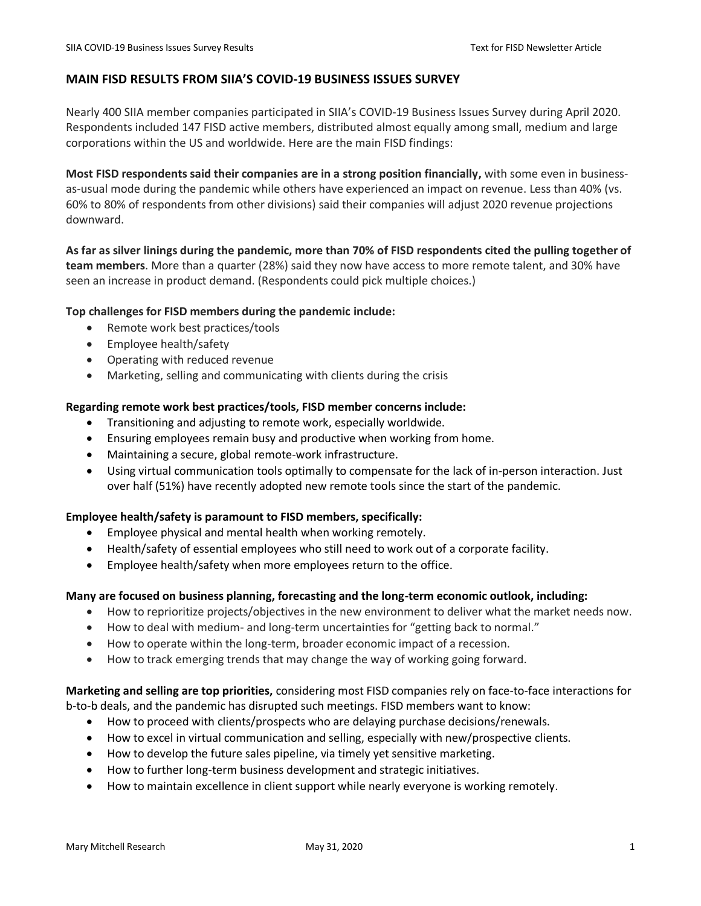# **MAIN FISD RESULTS FROM SIIA'S COVID-19 BUSINESS ISSUES SURVEY**

Nearly 400 SIIA member companies participated in SIIA's COVID-19 Business Issues Survey during April 2020. Respondents included 147 FISD active members, distributed almost equally among small, medium and large corporations within the US and worldwide. Here are the main FISD findings:

**Most FISD respondents said their companies are in a strong position financially,** with some even in businessas-usual mode during the pandemic while others have experienced an impact on revenue. Less than 40% (vs. 60% to 80% of respondents from other divisions) said their companies will adjust 2020 revenue projections downward.

**As far as silver linings during the pandemic, more than 70% of FISD respondents cited the pulling together of team members**. More than a quarter (28%) said they now have access to more remote talent, and 30% have seen an increase in product demand. (Respondents could pick multiple choices.)

## **Top challenges for FISD members during the pandemic include:**

- Remote work best practices/tools
- Employee health/safety
- Operating with reduced revenue
- Marketing, selling and communicating with clients during the crisis

## **Regarding remote work best practices/tools, FISD member concerns include:**

- Transitioning and adjusting to remote work, especially worldwide.
- Ensuring employees remain busy and productive when working from home.
- Maintaining a secure, global remote-work infrastructure.
- Using virtual communication tools optimally to compensate for the lack of in-person interaction. Just over half (51%) have recently adopted new remote tools since the start of the pandemic.

## **Employee health/safety is paramount to FISD members, specifically:**

- Employee physical and mental health when working remotely.
- Health/safety of essential employees who still need to work out of a corporate facility.
- Employee health/safety when more employees return to the office.

## **Many are focused on business planning, forecasting and the long-term economic outlook, including:**

- How to reprioritize projects/objectives in the new environment to deliver what the market needs now.
- How to deal with medium- and long-term uncertainties for "getting back to normal."
- How to operate within the long-term, broader economic impact of a recession.
- How to track emerging trends that may change the way of working going forward.

**Marketing and selling are top priorities,** considering most FISD companies rely on face-to-face interactions for b-to-b deals, and the pandemic has disrupted such meetings. FISD members want to know:

- How to proceed with clients/prospects who are delaying purchase decisions/renewals.
- How to excel in virtual communication and selling, especially with new/prospective clients.
- How to develop the future sales pipeline, via timely yet sensitive marketing.
- How to further long-term business development and strategic initiatives.
- How to maintain excellence in client support while nearly everyone is working remotely.